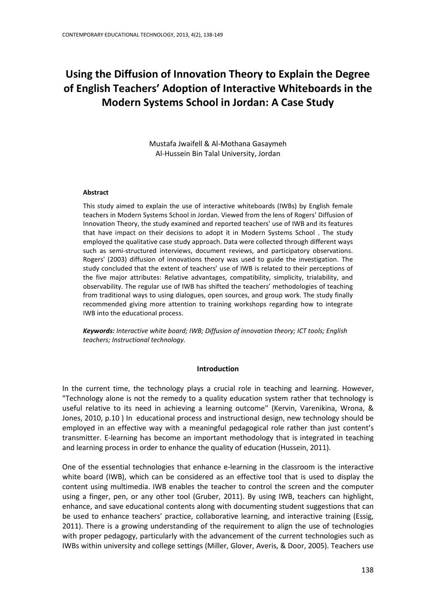# **Using the Diffusion of Innovation Theory to Explain the Degree of English Teachers' Adoption of Interactive Whiteboards in the Modern Systems School in Jordan: A Case Study**

Mustafa Jwaifell & Al-Mothana Gasaymeh Al-Hussein Bin Talal University, Jordan

#### **Abstract**

This study aimed to explain the use of interactive whiteboards (IWBs) by English female teachers in Modern Systems School in Jordan. Viewed from the lens of Rogers' Diffusion of Innovation Theory, the study examined and reported teachers' use of IWB and its features that have impact on their decisions to adopt it in Modern Systems School . The study employed the qualitative case study approach. Data were collected through different ways such as semi-structured interviews, document reviews, and participatory observations. Rogers' (2003) diffusion of innovations theory was used to guide the investigation. The study concluded that the extent of teachers' use of IWB is related to their perceptions of the five major attributes: Relative advantages, compatibility, simplicity, trialability, and observability. The regular use of IWB has shifted the teachers' methodologies of teaching from traditional ways to using dialogues, open sources, and group work. The study finally recommended giving more attention to training workshops regarding how to integrate IWB into the educational process.

*Keywords: Interactive white board; IWB; Diffusion of innovation theory; ICT tools; English teachers; Instructional technology.*

#### **Introduction**

In the current time, the technology plays a crucial role in teaching and learning. However, "Technology alone is not the remedy to a quality education system rather that technology is useful relative to its need in achieving a learning outcome" (Kervin, Varenikina, Wrona, & Jones, 2010, p.10 ) In educational process and instructional design, new technology should be employed in an effective way with a meaningful pedagogical role rather than just content's transmitter. E-learning has become an important methodology that is integrated in teaching and learning process in order to enhance the quality of education (Hussein, 2011).

One of the essential technologies that enhance e-learning in the classroom is the interactive white board (IWB), which can be considered as an effective tool that is used to display the content using multimedia. IWB enables the teacher to control the screen and the computer using a finger, pen, or any other tool (Gruber, 2011). By using IWB, teachers can highlight, enhance, and save educational contents along with documenting student suggestions that can be used to enhance teachers' practice, collaborative learning, and interactive training (Essig, 2011). There is a growing understanding of the requirement to align the use of technologies with proper pedagogy, particularly with the advancement of the current technologies such as IWBs within university and college settings (Miller, Glover, Averis, & Door, 2005). Teachers use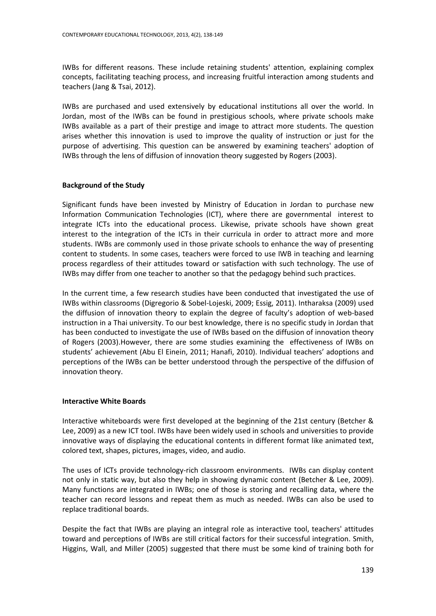IWBs for different reasons. These include retaining students' attention, explaining complex concepts, facilitating teaching process, and increasing fruitful interaction among students and teachers (Jang & Tsai, 2012).

IWBs are purchased and used extensively by educational institutions all over the world. In Jordan, most of the IWBs can be found in prestigious schools, where private schools make IWBs available as a part of their prestige and image to attract more students. The question arises whether this innovation is used to improve the quality of instruction or just for the purpose of advertising. This question can be answered by examining teachers' adoption of IWBs through the lens of diffusion of innovation theory suggested by Rogers (2003).

### **Background of the Study**

Significant funds have been invested by Ministry of Education in Jordan to purchase new Information Communication Technologies (ICT), where there are governmental interest to integrate ICTs into the educational process. Likewise, private schools have shown great interest to the integration of the ICTs in their curricula in order to attract more and more students. IWBs are commonly used in those private schools to enhance the way of presenting content to students. In some cases, teachers were forced to use IWB in teaching and learning process regardless of their attitudes toward or satisfaction with such technology. The use of IWBs may differ from one teacher to another so that the pedagogy behind such practices.

In the current time, a few research studies have been conducted that investigated the use of IWBs within classrooms (Digregorio & Sobel-Lojeski, 2009; Essig, 2011). Intharaksa (2009) used the diffusion of innovation theory to explain the degree of faculty's adoption of web-based instruction in a Thai university. To our best knowledge, there is no specific study in Jordan that has been conducted to investigate the use of IWBs based on the diffusion of innovation theory of Rogers (2003).However, there are some studies examining the effectiveness of IWBs on students' achievement (Abu El Einein, 2011; Hanafi, 2010). Individual teachers' adoptions and perceptions of the IWBs can be better understood through the perspective of the diffusion of innovation theory.

#### **Interactive White Boards**

Interactive whiteboards were first developed at the beginning of the 21st century (Betcher & Lee, 2009) as a new ICT tool. IWBs have been widely used in schools and universities to provide innovative ways of displaying the educational contents in different format like animated text, colored text, shapes, pictures, images, video, and audio.

The uses of ICTs provide technology-rich classroom environments. IWBs can display content not only in static way, but also they help in showing dynamic content (Betcher & Lee, 2009). Many functions are integrated in IWBs; one of those is storing and recalling data, where the teacher can record lessons and repeat them as much as needed. IWBs can also be used to replace traditional boards.

Despite the fact that IWBs are playing an integral role as interactive tool, teachers' attitudes toward and perceptions of IWBs are still critical factors for their successful integration. Smith, Higgins, Wall, and Miller (2005) suggested that there must be some kind of training both for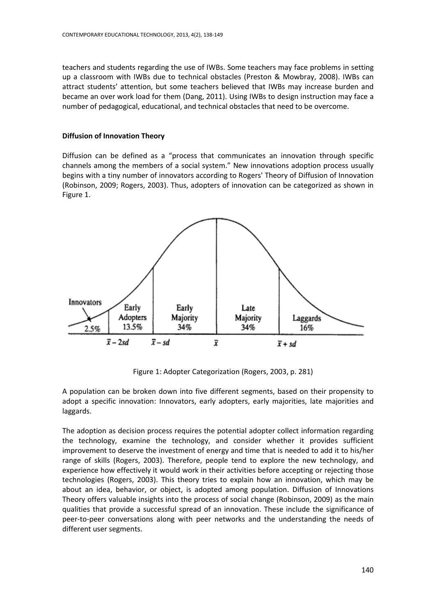teachers and students regarding the use of IWBs. Some teachers may face problems in setting up a classroom with IWBs due to technical obstacles (Preston & Mowbray, 2008). IWBs can attract students' attention, but some teachers believed that IWBs may increase burden and became an over work load for them (Dang, 2011). Using IWBs to design instruction may face a number of pedagogical, educational, and technical obstacles that need to be overcome.

# **Diffusion of Innovation Theory**

Diffusion can be defined as a "process that communicates an innovation through specific channels among the members of a social system." New innovations adoption process usually begins with a tiny number of innovators according to Rogers' Theory of Diffusion of Innovation (Robinson, 2009; Rogers, 2003). Thus, adopters of innovation can be categorized as shown in Figure 1.



Figure 1: Adopter Categorization (Rogers, 2003, p. 281)

A population can be broken down into five different segments, based on their propensity to adopt a specific innovation: Innovators, early adopters, early majorities, late majorities and laggards.

The adoption as decision process requires the potential adopter collect information regarding the technology, examine the technology, and consider whether it provides sufficient improvement to deserve the investment of energy and time that is needed to add it to his/her range of skills (Rogers, 2003). Therefore, people tend to explore the new technology, and experience how effectively it would work in their activities before accepting or rejecting those technologies (Rogers, 2003). This theory tries to explain how an innovation, which may be about an idea, behavior, or object, is adopted among population. Diffusion of Innovations Theory offers valuable insights into the process of social change (Robinson, 2009) as the main qualities that provide a successful spread of an innovation. These include the significance of peer-to-peer conversations along with peer networks and the understanding the needs of different user segments.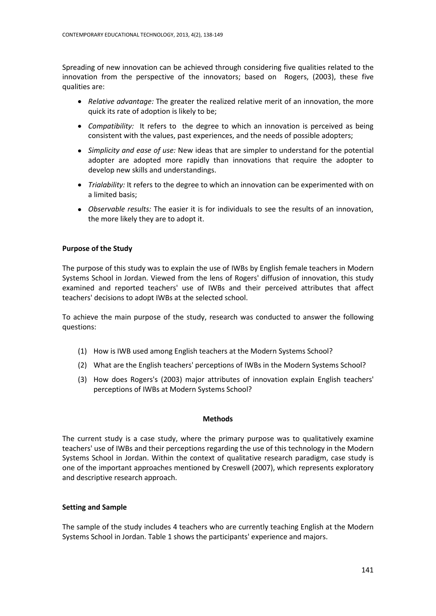Spreading of new innovation can be achieved through considering five qualities related to the innovation from the perspective of the innovators; based on Rogers, (2003), these five qualities are:

- *Relative advantage:* The greater the realized relative merit of an innovation, the more quick its rate of adoption is likely to be;
- *Compatibility:* It refers to the degree to which an innovation is perceived as being consistent with the values, past experiences, and the needs of possible adopters;
- *Simplicity and ease of use:* New ideas that are simpler to understand for the potential adopter are adopted more rapidly than innovations that require the adopter to develop new skills and understandings.
- *Trialability:* It refers to the degree to which an innovation can be experimented with on a limited basis;
- *Observable results:* The easier it is for individuals to see the results of an innovation, the more likely they are to adopt it.

## **Purpose of the Study**

The purpose of this study was to explain the use of IWBs by English female teachers in Modern Systems School in Jordan. Viewed from the lens of Rogers' diffusion of innovation, this study examined and reported teachers' use of IWBs and their perceived attributes that affect teachers' decisions to adopt IWBs at the selected school.

To achieve the main purpose of the study, research was conducted to answer the following questions:

- (1) How is IWB used among English teachers at the Modern Systems School?
- (2) What are the English teachers' perceptions of IWBs in the Modern Systems School?
- (3) How does Rogers's (2003) major attributes of innovation explain English teachers' perceptions of IWBs at Modern Systems School?

#### **Methods**

The current study is a case study, where the primary purpose was to qualitatively examine teachers' use of IWBs and their perceptions regarding the use of this technology in the Modern Systems School in Jordan. Within the context of qualitative research paradigm, case study is one of the important approaches mentioned by Creswell (2007), which represents exploratory and descriptive research approach.

#### **Setting and Sample**

The sample of the study includes 4 teachers who are currently teaching English at the Modern Systems School in Jordan. Table 1 shows the participants' experience and majors.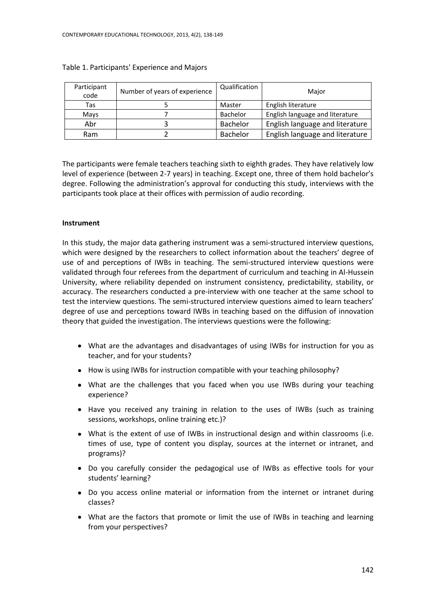| Participant<br>code | Number of years of experience | Qualification | Major                           |
|---------------------|-------------------------------|---------------|---------------------------------|
| Tas                 |                               | Master        | English literature              |
| Mays                |                               | Bachelor      | English language and literature |
| Abr                 |                               | Bachelor      | English language and literature |
| Ram                 |                               | Bachelor      | English language and literature |

#### Table 1. Participants' Experience and Majors

The participants were female teachers teaching sixth to eighth grades. They have relatively low level of experience (between 2-7 years) in teaching. Except one, three of them hold bachelor's degree. Following the administration's approval for conducting this study, interviews with the participants took place at their offices with permission of audio recording.

#### **Instrument**

In this study, the major data gathering instrument was a semi-structured interview questions, which were designed by the researchers to collect information about the teachers' degree of use of and perceptions of IWBs in teaching. The semi-structured interview questions were validated through four referees from the department of curriculum and teaching in Al-Hussein University, where reliability depended on instrument consistency, predictability, stability, or accuracy. The researchers conducted a pre-interview with one teacher at the same school to test the interview questions. The semi-structured interview questions aimed to learn teachers' degree of use and perceptions toward IWBs in teaching based on the diffusion of innovation theory that guided the investigation. The interviews questions were the following:

- What are the advantages and disadvantages of using IWBs for instruction for you as teacher, and for your students?
- How is using IWBs for instruction compatible with your teaching philosophy?
- What are the challenges that you faced when you use IWBs during your teaching experience?
- Have you received any training in relation to the uses of IWBs (such as training sessions, workshops, online training etc.)?
- What is the extent of use of IWBs in instructional design and within classrooms (i.e. times of use, type of content you display, sources at the internet or intranet, and programs)?
- Do you carefully consider the pedagogical use of IWBs as effective tools for your students' learning?
- Do you access online material or information from the internet or intranet during classes?
- What are the factors that promote or limit the use of IWBs in teaching and learning from your perspectives?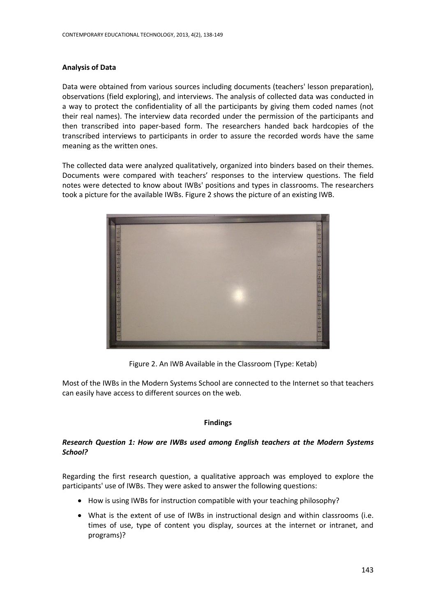## **Analysis of Data**

Data were obtained from various sources including documents (teachers' lesson preparation), observations (field exploring), and interviews. The analysis of collected data was conducted in a way to protect the confidentiality of all the participants by giving them coded names (not their real names). The interview data recorded under the permission of the participants and then transcribed into paper-based form. The researchers handed back hardcopies of the transcribed interviews to participants in order to assure the recorded words have the same meaning as the written ones.

The collected data were analyzed qualitatively, organized into binders based on their themes. Documents were compared with teachers' responses to the interview questions. The field notes were detected to know about IWBs' positions and types in classrooms. The researchers took a picture for the available IWBs. Figure 2 shows the picture of an existing IWB.



Figure 2. An IWB Available in the Classroom (Type: Ketab)

Most of the IWBs in the Modern Systems School are connected to the Internet so that teachers can easily have access to different sources on the web.

# **Findings**

# *Research Question 1: How are IWBs used among English teachers at the Modern Systems School?*

Regarding the first research question, a qualitative approach was employed to explore the participants' use of IWBs. They were asked to answer the following questions:

- How is using IWBs for instruction compatible with your teaching philosophy?
- What is the extent of use of IWBs in instructional design and within classrooms (i.e. times of use, type of content you display, sources at the internet or intranet, and programs)?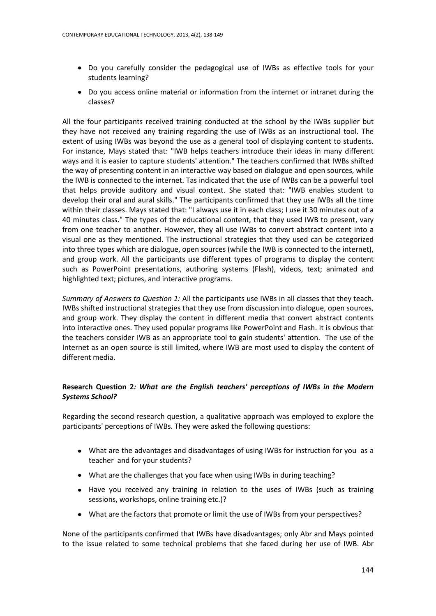- Do you carefully consider the pedagogical use of IWBs as effective tools for your students learning?
- Do you access online material or information from the internet or intranet during the classes?

All the four participants received training conducted at the school by the IWBs supplier but they have not received any training regarding the use of IWBs as an instructional tool. The extent of using IWBs was beyond the use as a general tool of displaying content to students. For instance, Mays stated that: "IWB helps teachers introduce their ideas in many different ways and it is easier to capture students' attention." The teachers confirmed that IWBs shifted the way of presenting content in an interactive way based on dialogue and open sources, while the IWB is connected to the internet. Tas indicated that the use of IWBs can be a powerful tool that helps provide auditory and visual context. She stated that: "IWB enables student to develop their oral and aural skills." The participants confirmed that they use IWBs all the time within their classes. Mays stated that: "I always use it in each class; I use it 30 minutes out of a 40 minutes class." The types of the educational content, that they used IWB to present, vary from one teacher to another. However, they all use IWBs to convert abstract content into a visual one as they mentioned. The instructional strategies that they used can be categorized into three types which are dialogue, open sources (while the IWB is connected to the internet), and group work. All the participants use different types of programs to display the content such as PowerPoint presentations, authoring systems (Flash), videos, text; animated and highlighted text; pictures, and interactive programs.

*Summary of Answers to Question 1:* All the participants use IWBs in all classes that they teach. IWBs shifted instructional strategies that they use from discussion into dialogue, open sources, and group work. They display the content in different media that convert abstract contents into interactive ones. They used popular programs like PowerPoint and Flash. It is obvious that the teachers consider IWB as an appropriate tool to gain students' attention. The use of the Internet as an open source is still limited, where IWB are most used to display the content of different media.

# **Research Question 2***: What are the English teachers' perceptions of IWBs in the Modern Systems School?*

Regarding the second research question, a qualitative approach was employed to explore the participants' perceptions of IWBs. They were asked the following questions:

- What are the advantages and disadvantages of using IWBs for instruction for you as a teacher and for your students?
- What are the challenges that you face when using IWBs in during teaching?
- Have you received any training in relation to the uses of IWBs (such as training sessions, workshops, online training etc.)?
- What are the factors that promote or limit the use of IWBs from your perspectives?

None of the participants confirmed that IWBs have disadvantages; only Abr and Mays pointed to the issue related to some technical problems that she faced during her use of IWB. Abr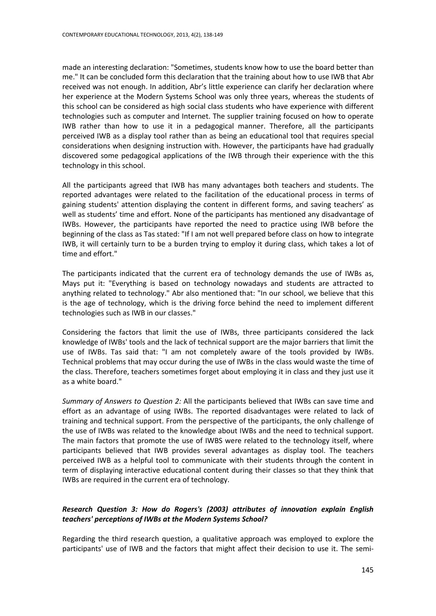made an interesting declaration: "Sometimes, students know how to use the board better than me." It can be concluded form this declaration that the training about how to use IWB that Abr received was not enough. In addition, Abr's little experience can clarify her declaration where her experience at the Modern Systems School was only three years, whereas the students of this school can be considered as high social class students who have experience with different technologies such as computer and Internet. The supplier training focused on how to operate IWB rather than how to use it in a pedagogical manner. Therefore, all the participants perceived IWB as a display tool rather than as being an educational tool that requires special considerations when designing instruction with. However, the participants have had gradually discovered some pedagogical applications of the IWB through their experience with the this technology in this school.

All the participants agreed that IWB has many advantages both teachers and students. The reported advantages were related to the facilitation of the educational process in terms of gaining students' attention displaying the content in different forms, and saving teachers' as well as students' time and effort. None of the participants has mentioned any disadvantage of IWBs. However, the participants have reported the need to practice using IWB before the beginning of the class as Tas stated: "If I am not well prepared before class on how to integrate IWB, it will certainly turn to be a burden trying to employ it during class, which takes a lot of time and effort."

The participants indicated that the current era of technology demands the use of IWBs as, Mays put it: "Everything is based on technology nowadays and students are attracted to anything related to technology." Abr also mentioned that: "In our school, we believe that this is the age of technology, which is the driving force behind the need to implement different technologies such as IWB in our classes."

Considering the factors that limit the use of IWBs, three participants considered the lack knowledge of IWBs' tools and the lack of technical support are the major barriers that limit the use of IWBs. Tas said that: "I am not completely aware of the tools provided by IWBs. Technical problems that may occur during the use of IWBs in the class would waste the time of the class. Therefore, teachers sometimes forget about employing it in class and they just use it as a white board."

*Summary of Answers to Question 2:* All the participants believed that IWBs can save time and effort as an advantage of using IWBs. The reported disadvantages were related to lack of training and technical support. From the perspective of the participants, the only challenge of the use of IWBs was related to the knowledge about IWBs and the need to technical support. The main factors that promote the use of IWBS were related to the technology itself, where participants believed that IWB provides several advantages as display tool. The teachers perceived IWB as a helpful tool to communicate with their students through the content in term of displaying interactive educational content during their classes so that they think that IWBs are required in the current era of technology.

# *Research Question 3: How do Rogers's (2003) attributes of innovation explain English teachers' perceptions of IWBs at the Modern Systems School?*

Regarding the third research question, a qualitative approach was employed to explore the participants' use of IWB and the factors that might affect their decision to use it. The semi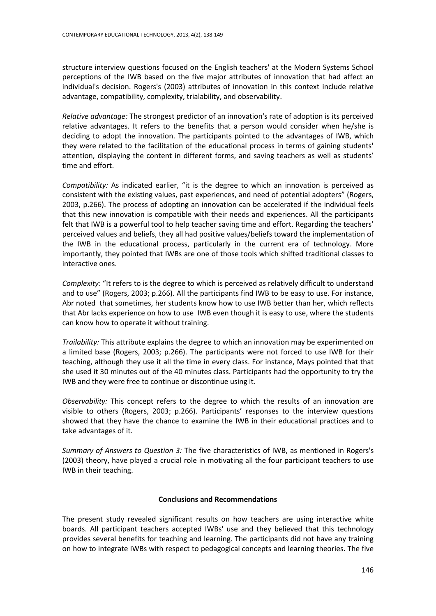structure interview questions focused on the English teachers' at the Modern Systems School perceptions of the IWB based on the five major attributes of innovation that had affect an individual's decision. Rogers's (2003) attributes of innovation in this context include relative advantage, compatibility, complexity, trialability, and observability.

*Relative advantage:* The strongest predictor of an innovation's rate of adoption is its perceived relative advantages. It refers to the benefits that a person would consider when he/she is deciding to adopt the innovation. The participants pointed to the advantages of IWB, which they were related to the facilitation of the educational process in terms of gaining students' attention, displaying the content in different forms, and saving teachers as well as students' time and effort.

*Compatibility:* As indicated earlier, "it is the degree to which an innovation is perceived as consistent with the existing values, past experiences, and need of potential adopters" (Rogers, 2003, p.266). The process of adopting an innovation can be accelerated if the individual feels that this new innovation is compatible with their needs and experiences. All the participants felt that IWB is a powerful tool to help teacher saving time and effort. Regarding the teachers' perceived values and beliefs, they all had positive values/beliefs toward the implementation of the IWB in the educational process, particularly in the current era of technology. More importantly, they pointed that IWBs are one of those tools which shifted traditional classes to interactive ones.

*Complexity:* "It refers to is the degree to which is perceived as relatively difficult to understand and to use" (Rogers, 2003; p.266). All the participants find IWB to be easy to use. For instance, Abr noted that sometimes, her students know how to use IWB better than her, which reflects that Abr lacks experience on how to use IWB even though it is easy to use, where the students can know how to operate it without training.

*Trailability:* This attribute explains the degree to which an innovation may be experimented on a limited base (Rogers, 2003; p.266). The participants were not forced to use IWB for their teaching, although they use it all the time in every class. For instance, Mays pointed that that she used it 30 minutes out of the 40 minutes class. Participants had the opportunity to try the IWB and they were free to continue or discontinue using it.

*Observability:* This concept refers to the degree to which the results of an innovation are visible to others (Rogers, 2003; p.266). Participants' responses to the interview questions showed that they have the chance to examine the IWB in their educational practices and to take advantages of it.

*Summary of Answers to Question 3:* The five characteristics of IWB, as mentioned in Rogers's (2003) theory, have played a crucial role in motivating all the four participant teachers to use IWB in their teaching.

## **Conclusions and Recommendations**

The present study revealed significant results on how teachers are using interactive white boards. All participant teachers accepted IWBs' use and they believed that this technology provides several benefits for teaching and learning. The participants did not have any training on how to integrate IWBs with respect to pedagogical concepts and learning theories. The five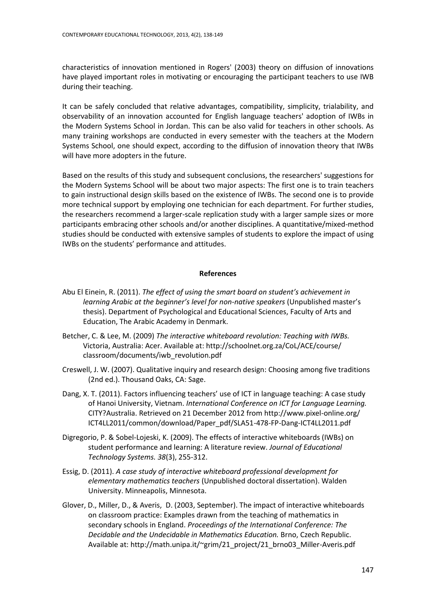characteristics of innovation mentioned in Rogers' (2003) theory on diffusion of innovations have played important roles in motivating or encouraging the participant teachers to use IWB during their teaching.

It can be safely concluded that relative advantages, compatibility, simplicity, trialability, and observability of an innovation accounted for English language teachers' adoption of IWBs in the Modern Systems School in Jordan. This can be also valid for teachers in other schools. As many training workshops are conducted in every semester with the teachers at the Modern Systems School, one should expect, according to the diffusion of innovation theory that IWBs will have more adopters in the future.

Based on the results of this study and subsequent conclusions, the researchers' suggestions for the Modern Systems School will be about two major aspects: The first one is to train teachers to gain instructional design skills based on the existence of IWBs. The second one is to provide more technical support by employing one technician for each department. For further studies, the researchers recommend a larger-scale replication study with a larger sample sizes or more participants embracing other schools and/or another disciplines. A quantitative/mixed-method studies should be conducted with extensive samples of students to explore the impact of using IWBs on the students' performance and attitudes.

#### **References**

- Abu El Einein, R. (2011). *The effect of using the smart board on student's achievement in learning Arabic at the beginner's level for non-native speakers* (Unpublished master's thesis). Department of Psychological and Educational Sciences, Faculty of Arts and Education, The Arabic Academy in Denmark.
- Betcher, C. & Lee, M. (2009) *The interactive whiteboard revolution: Teaching with IWBs.*  Victoria, Australia: Acer. Available at: [http://schoolnet.org.za/CoL/ACE/course/](http://schoolnet.org.za/CoL/ACE/course/%20classroom/documents/iwb_revolution.pdf) [classroom/documents/iwb\\_revolution.pdf](http://schoolnet.org.za/CoL/ACE/course/%20classroom/documents/iwb_revolution.pdf)
- Creswell, J. W. (2007). Qualitative inquiry and research design: Choosing among five traditions (2nd ed.). Thousand Oaks, CA: Sage.
- Dang, X. T. (2011). Factors influencing teachers' use of ICT in language teaching: A case study of Hanoi University, Vietnam. *International Conference on ICT for Language Learning.* CITY?Australia. Retrieved on 21 December 2012 from [http://www.pixel-online.org/](http://www.pixel-online.org/%20ICT4LL2011/common/download/Paper_pdf/SLA51-478-FP-Dang-ICT4LL2011.pdf)  [ICT4LL2011/common/download/Paper\\_pdf/SLA51-478-FP-Dang-ICT4LL2011.pdf](http://www.pixel-online.org/%20ICT4LL2011/common/download/Paper_pdf/SLA51-478-FP-Dang-ICT4LL2011.pdf)
- Digregorio, P. & Sobel-Lojeski, K. (2009). The effects of interactive whiteboards (IWBs) on student performance and learning: A literature review. *Journal of Educational Technology Systems. 38*(3), 255-312.
- Essig, D. (2011). *A case study of interactive whiteboard professional development for elementary mathematics teachers* (Unpublished doctoral dissertation). Walden University. Minneapolis, Minnesota.
- Glover, D., Miller, D., & Averis, D. (2003, September). The impact of interactive whiteboards on classroom practice: Examples drawn from the teaching of mathematics in secondary schools in England. *Proceedings of the International Conference: The Decidable and the Undecidable in Mathematics Education.* Brno, Czech Republic. Available at: http://math.unipa.it/~grim/21\_project/21\_brno03\_Miller-Averis.pdf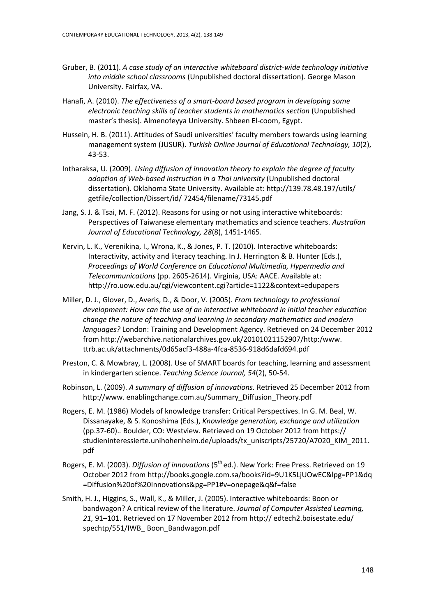- Gruber, B. (2011). *A case study of an interactive whiteboard district-wide technology initiative into middle school classrooms* (Unpublished doctoral dissertation). George Mason University. Fairfax, VA.
- Hanafi, A. (2010). *The effectiveness of a smart-board based program in developing some electronic teaching skills of teacher students in mathematics section* (Unpublished master's thesis). Almenofeyya University. Shbeen El-coom, Egypt.
- Hussein, H. B. (2011). Attitudes of Saudi universities' faculty members towards using learning management system (JUSUR). *Turkish Online Journal of Educational Technology, 10*(2), 43-53.
- Intharaksa, U. (2009). *Using diffusion of innovation theory to explain the degree of faculty adoption of Web-based instruction in a Thai university* (Unpublished doctoral dissertation). Oklahoma State University. Available at: [http://139.78.48.197/utils/](http://139.78.48.197/utils/%20getfile/collection/Dissert/id/%2072454/filename/73145.pdf)  [getfile/collection/Dissert/id/ 72454/filename/73145.pdf](http://139.78.48.197/utils/%20getfile/collection/Dissert/id/%2072454/filename/73145.pdf)
- Jang, S. J. & Tsai, M. F. (2012). Reasons for using or not using interactive whiteboards: Perspectives of Taiwanese elementary mathematics and science teachers. *Australian Journal of Educational Technology, 28*(8), 1451-1465.
- Kervin, L. K., Verenikina, I., Wrona, K., & Jones, P. T. (2010). Interactive whiteboards: Interactivity, activity and literacy teaching. In J. Herrington & B. Hunter (Eds.), *Proceedings of World Conference on Educational Multimedia, Hypermedia and Telecommunications* (pp. 2605-2614). Virginia, USA: AACE. Available at: <http://ro.uow.edu.au/cgi/viewcontent.cgi?article=1122&context=edupapers>
- Miller, D. J., Glover, D., Averis, D., & Door, V. (2005). *From technology to professional development: How can the use of an interactive whiteboard in initial teacher education change the nature of teaching and learning in secondary mathematics and modern languages?* London: Training and Development Agency. Retrieved on 24 December 2012 from [http://webarchive.nationalarchives.gov.uk/20101021152907/http:/www.](http://webarchive.nationalarchives.gov.uk/20101021152907/http:/www.%20ttrb.ac.uk/attachments/0d65acf3-488a-4fca-8536-918d6dafd694.pdf)  [ttrb.ac.uk/attachments/0d65acf3-488a-4fca-8536-918d6dafd694.pdf](http://webarchive.nationalarchives.gov.uk/20101021152907/http:/www.%20ttrb.ac.uk/attachments/0d65acf3-488a-4fca-8536-918d6dafd694.pdf)
- Preston, C. & Mowbray, L. (2008). Use of SMART boards for teaching, learning and assessment in kindergarten science. *Teaching Science Journal, 54*(2), 50-54.
- Robinson, L. (2009). *A summary of diffusion of innovations.* Retrieved 25 December 2012 from http://www. enablingchange.com.au/Summary\_Diffusion\_Theory.pdf
- Rogers, E. M. (1986) Models of knowledge transfer: Critical Perspectives. In G. M. Beal, W. Dissanayake, & S. Konoshima (Eds.), *Knowledge generation, exchange and utilization* (pp.37-60).*.* Boulder, CO: Westview. Retrieved on 19 October 2012 from https:// studieninteressierte.unihohenheim.de/uploads/tx\_uniscripts/25720/A7020\_KIM\_2011. pdf
- Rogers, E. M. (2003). *Diffusion of innovations* (5th ed.). New York: Free Press. Retrieved on 19 October 2012 fro[m http://books.google.com.sa/books?id=9U1K5LjUOwEC&lpg=PP1&dq](http://books.google.com.sa/books?id=9U1K5LjUOwEC&lpg=PP1&dq%20=Diffusion%20of%20Innovations&pg=PP1#v=onepage&q&f=false) [=Diffusion%20of%20Innovations&pg=PP1#v=onepage&q&f=false](http://books.google.com.sa/books?id=9U1K5LjUOwEC&lpg=PP1&dq%20=Diffusion%20of%20Innovations&pg=PP1#v=onepage&q&f=false)
- Smith, H. J., Higgins, S., Wall, K., & Miller, J. (2005). Interactive whiteboards: Boon or bandwagon? A critical review of the literature. *Journal of Computer Assisted Learning, 21,* 91–101. Retrieved on 17 November 2012 from http:// edtech2.boisestate.edu/ spechtp/551/IWB\_ Boon\_Bandwagon.pdf